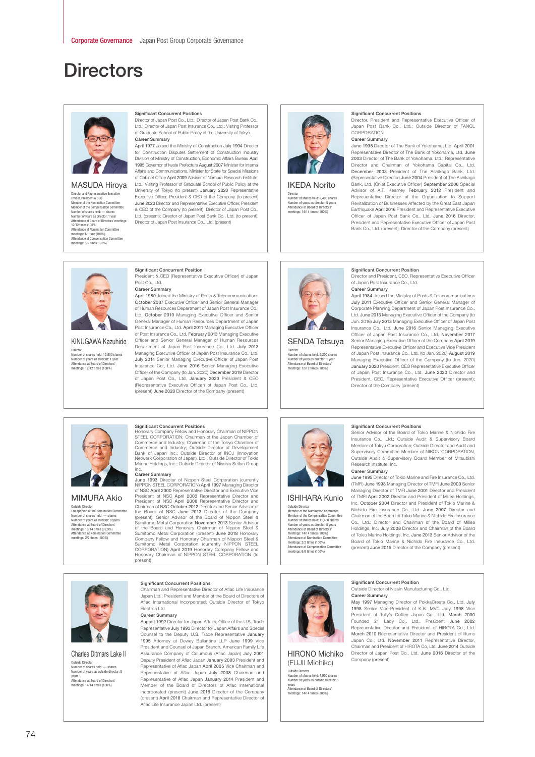# **Directors**



# MASUDA Hiroya

Director and Representative Executi<br>Officer, President & CEO Officer, President & CEO<br>Member of the Nomination Committee<br>Member of the Compensation Committee<br>Number of shares held: — shares<br>Number of years as director: 1 year<br>Attendance at Board of Directors' meetings: 12/12 times (100%) Attendance at Nomination Committee meetings: 1/1 time (100%) Attendance at Compensation Committee meetings: 5/5 times (100%)

# Significant Concurrent Positions

Director of Japan Post Co., Ltd.; Director of Japan Post Bank Co., Ltd.; Director of Japan Post Insurance Co., Ltd.; Visiting Professor of Graduate School of Public Policy at the University of Tokyo. Career Summary

April 1977 Joined the Ministry of Construction July 1994 Director for Construction Disputes Settlement of Construction Industry Division of Ministry of Construction, Economic Affairs Bureau April 1995 Governor of Iwate Prefecture August 2007 Minister for Internal Affairs and Communications, Minister for State for Special Missions of Cabinet Office April 2009 Advisor of Nomura Research Institute, Ltd.; Visiting Professor of Graduate School of Public Policy at the University of Tokyo (to present) January 2020 Representative Executive Officer, President & CEO of the Company (to present) June 2020 Director and Representative Executive Officer, President & CEO of the Company (to present); Director of Japan Post Co., Ltd. (present); Director of Japan Post Bank Co., Ltd. (to present); Director of Japan Post Insurance Co., Ltd. (present)



IKEDA Norito Director Number of shares held: 2,400 shares

Number of years as director: 5 years Attendance at Board of Directors' meetings: 14/14 times (100%)

## Significant Concurrent Positions

Director, President and Representative Executive Officer of Japan Post Bank Co., Ltd.; Outside Director of FANCL CORPORATION Career Summary

# June 1996 Director of The Bank of Yokohama, Ltd. April 2001 Representative Director of The Bank of Yokohama, Ltd. June 2003 Director of The Bank of Yokohama, Ltd.; Representative Director and Chairman of Yokohama Capital Co., Ltd. December 2003 President of The Ashikaga Bank, Ltd. (Representative Director) June 2004 President of The Ashikaga Bank, Ltd. (Chief Executive Officer) September 2008 Special Advisor of A.T. Kearney February 2012 President and Representative Director of the Organization to Support Revitalization of Businesses Affected by the Great East Japan Earthquake April 2016 President and Representative Executive Officer of Japan Post Bank Co., Ltd. June 2016 Director, President and Representative Executive Officer of Japan Post Bank Co., Ltd. (present); Director of the Company (present)

# $\overline{m}$

KINUGAWA Kazuhide Director Number of shares held: 12,500 shares Number of years as director: 1 year Attendance at Board of Directors' meetings: 12/12 times (100%)

# Significant Concurrent Position

President & CEO (Representative Executive Officer) of Japan Post Co., Ltd.

**Career Summary**<br>April 1980 Joined the Ministry of Posts & Telecommunications October 2007 Executive Officer and Senior General Manager of Human Resources Department of Japan Post Insurance Co., Ltd. October 2010 Managing Executive Officer and Senior General Manager of Human Resources Department of Japan Post Insurance Co., Ltd. April 2011 Managing Executive Officer of Post Insurance Co., Ltd. February 2013 Managing Executive Officer and Senior General Manager of Human Resources Department of Japan Post Insurance Co., Ltd. July 2013 Managing Executive Officer of Japan Post Insurance Co., Ltd. July 2014 Senior Managing Executive Officer of Japan Post Insurance Co., Ltd. June 2016 Senior Managing Executive Officer of the Company (to Jan. 2020) December 2019 Director of Japan Post Co., Ltd. January 2020 President & CEO (Representative Executive Officer) of Japan Post Co., Ltd. (present) June 2020 Director of the Company (present)



SENDA Tetsuya Director Number of shares held: 5,200 shares Number of years as director: 1 year Attendance at Board of Directors' meetings: 12/12 times (100%)

# Significant Concurrent Position

Director and President, CEO, Representative Executive Officer of Japan Post Insurance Co., Ltd.

# Career Summary April 1984 Joined the Ministry of Posts & Telecommunications July 2011 Executive Officer and Senior General Manager of Corporate Planning Department of Japan Post Insurance Co., Ltd. June 2013 Managing Executive Officer of the Company (to Jun. 2016) July 2013 Managing Executive Officer of Japan Post Insurance Co., Ltd. June 2016 Senior Managing Executive Officer of Japan Post Insurance Co., Ltd. November 2017 Senior Managing Executive Officer of the Company April 2019

Representative Executive Officer and Executive Vice President of Japan Post Insurance Co., Ltd. (to Jan. 2020) August 2019 Managing Executive Officer of the Company (to Jun. 2020) January 2020 President, CEO Representative Executive Officer of Japan Post Insurance Co., Ltd. June 2020 Director and President, CEO, Representative Executive Officer (present); Director of the Company (present)



# MIMURA Akio

Outside Director Chairperson of the Nomination Committee Number of shares held: — shares Number of years as director: 8 years Attendance at Board of Directors' meetings: 13/14 times (92.9%) Attendance at Nomination Committee meetings: 2/2 times (100%)

# Significant Concurrent Positions

Honorary Company Fellow and Honorary Chairman of NIPPON<br>STEEL CORPORATION; Chairman of the Japan Chamber of<br>Commerce and Industry; Chairman of the Tokyo Chamber of<br>Commerce and Industry; Chairman of the Tokyo Chamber of<br>Ba

Career Summary June 1993 Director of Nippon Steel Corporation (currently NIPPON STEEL CORPORATION) April 1997 Managing Director of NSC April 2000 Representative Director and Executive Vice<br>President of NSC April 2003 Representative Director and<br>President of NSC April 2003 Representative Director and<br>Chairman of NSC October 2012 Director and Senior Company Fellow and Honorary Chairman of Nippon Steel &<br>Sumitomo Metal Corporation<br>CORPORATION) April 2019 Honorary Company Fellow and<br>Honorary Chairman of NIPPON STEEL CORPORATION (to present)

Chairman and Representative Director of Aflac Life Insurance Japan Ltd.; President and Member of the Board of Directors of Aflac International Incorporated; Outside Director of Tokyo

August 1992 Director for Japan Affairs, Office of the U.S. Trade Representative July 1993 Director for Japan Affairs and Special Counsel to the Deputy U.S. Trade Representative January 1995 Attorney at Dewey Ballantine LLP June 1999 Vice President and Counsel of Japan Branch, American Family Life Assurance Company of Columbus (Aflac Japan) July 2001 Deputy President of Aflac Japan January 2003 President and Representative of Aflac Japan April 2005 Vice Chairman and Representative of Aflac Japan July 2008 Chairman and Representative of Aflac Japan January 2014 President and Member of the Board of Directors of Aflac International Incorporated (present) June 2016 Director of the Company (present) April 2018 Chairman and Representative Director of

Significant Concurrent Positions

Aflac Life Insurance Japan Ltd. (present)

Electron Ltd. Career Summary

ISHIHARA Kunio

Outside Director Member of the Nomination Committee Member of the Compensation Committee<br>Number of shares held: 11,400 shares<br>Number of years as director: 5 years<br>Attendance at Board of Directors'<br>meetings: 14/14 times (100%)<br>Attendance at Nomination Committee<br>meetings: 2/2

# Significant Concurrent Positions

Senior Advisor of the Board of Tokio Marine & Nichido Fire Insurance Co., Ltd.; Outside Audit & Supervisory Board Member of Tokyu Corporation; Outside Director and Audit and Supervisory Committee Member of NIKON CORPORATION, Outside Audit & Supervisory Board Member of Mitsubishi Research Institute, Inc.

Career Summary June 1995 Director of Tokio Marine and Fire Insurance Co., Ltd. (TMFI) June 1998 Managing Director of TMFI June 2000 Senior Managing Director of TMFI June 2001 Director and President of TMFI April 2002 Director and President of Millea Holdings, Inc. October 2004 Director and President of Tokio Marine & Nichido Fire Insurance Co., Ltd. June 2007 Director and Chairman of the Board of Tokio Marine & Nichido Fire Insurance Co., Ltd.; Director and Chairman of the Board of Millea Holdings, Inc. July 2008 Director and Chairman of the Board of Tokio Marine Holdings, Inc. June 2013 Senior Advisor of the Board of Tokio Marine & Nichido Fire Insurance Co., Ltd. (present) June 2015 Director of the Company (present)



HIRONO Michiko (FUJII Michiko) side Director<br>nher of shar or<br>ires held: 4,900 sl Number of years as outside director: 5

years Attendance at Board of Directors' meetings: 14/14 times (100%)

### Significant Concurrent Position Outside Director of Nissin Manufacturing Co., Ltd. Career Summary

May 1997 Managing Director of PokkaCreate Co., Ltd. July 1998 Senior Vice-President of K.K. MVC July 1998 Vice President of Tully's Coffee Japan Co., Ltd. March 2000 Founded 21 Lady Co., Ltd., President June 2002 Representative Director and President of HIROTA Co., Ltd. March 2010 Representative Director and President of Illums Japan Co., Ltd. November 2011 Representative Director, Chairman and President of HIROTA Co, Ltd. June 2014 Outside Director of Japan Post Co., Ltd. June 2016 Director of the Company (present)



Charles Ditmars Lake II Outside Director Number of shares held: — shares Number of years as outside director: 5 years Attendance at Board of Directors' meetings: 14/14 times (100%)

# 74